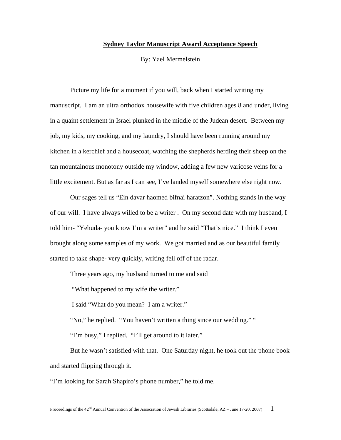## **Sydney Taylor Manuscript Award Acceptance Speech**

By: Yael Mermelstein

Picture my life for a moment if you will, back when I started writing my manuscript. I am an ultra orthodox housewife with five children ages 8 and under, living in a quaint settlement in Israel plunked in the middle of the Judean desert. Between my job, my kids, my cooking, and my laundry, I should have been running around my kitchen in a kerchief and a housecoat, watching the shepherds herding their sheep on the tan mountainous monotony outside my window, adding a few new varicose veins for a little excitement. But as far as I can see, I've landed myself somewhere else right now.

Our sages tell us "Ein davar haomed bifnai haratzon". Nothing stands in the way of our will. I have always willed to be a writer . On my second date with my husband, I told him- "Yehuda- you know I'm a writer" and he said "That's nice." I think I even brought along some samples of my work. We got married and as our beautiful family started to take shape- very quickly, writing fell off of the radar.

Three years ago, my husband turned to me and said

"What happened to my wife the writer."

I said "What do you mean? I am a writer."

"No," he replied. "You haven't written a thing since our wedding." "

"I'm busy," I replied. "I'll get around to it later."

But he wasn't satisfied with that. One Saturday night, he took out the phone book and started flipping through it.

"I'm looking for Sarah Shapiro's phone number," he told me.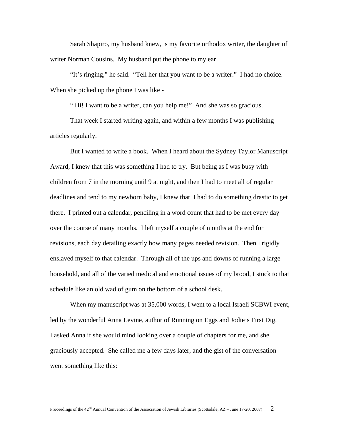Sarah Shapiro, my husband knew, is my favorite orthodox writer, the daughter of writer Norman Cousins. My husband put the phone to my ear.

"It's ringing," he said. "Tell her that you want to be a writer." I had no choice. When she picked up the phone I was like -

" Hi! I want to be a writer, can you help me!" And she was so gracious.

That week I started writing again, and within a few months I was publishing articles regularly.

But I wanted to write a book. When I heard about the Sydney Taylor Manuscript Award, I knew that this was something I had to try. But being as I was busy with children from 7 in the morning until 9 at night, and then I had to meet all of regular deadlines and tend to my newborn baby, I knew that I had to do something drastic to get there. I printed out a calendar, penciling in a word count that had to be met every day over the course of many months. I left myself a couple of months at the end for revisions, each day detailing exactly how many pages needed revision. Then I rigidly enslaved myself to that calendar. Through all of the ups and downs of running a large household, and all of the varied medical and emotional issues of my brood, I stuck to that schedule like an old wad of gum on the bottom of a school desk.

When my manuscript was at 35,000 words, I went to a local Israeli SCBWI event, led by the wonderful Anna Levine, author of Running on Eggs and Jodie's First Dig. I asked Anna if she would mind looking over a couple of chapters for me, and she graciously accepted. She called me a few days later, and the gist of the conversation went something like this: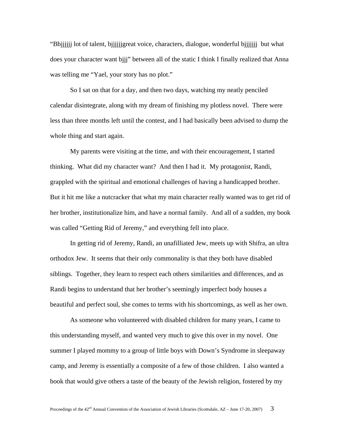"Bbjjjjjj lot of talent, bjjjjjjgreat voice, characters, dialogue, wonderful bjjjjjjj but what does your character want bjjj" between all of the static I think I finally realized that Anna was telling me "Yael, your story has no plot."

So I sat on that for a day, and then two days, watching my neatly penciled calendar disintegrate, along with my dream of finishing my plotless novel. There were less than three months left until the contest, and I had basically been advised to dump the whole thing and start again.

My parents were visiting at the time, and with their encouragement, I started thinking. What did my character want? And then I had it. My protagonist, Randi, grappled with the spiritual and emotional challenges of having a handicapped brother. But it hit me like a nutcracker that what my main character really wanted was to get rid of her brother, institutionalize him, and have a normal family. And all of a sudden, my book was called "Getting Rid of Jeremy," and everything fell into place.

In getting rid of Jeremy, Randi, an unafilliated Jew, meets up with Shifra, an ultra orthodox Jew. It seems that their only commonality is that they both have disabled siblings. Together, they learn to respect each others similarities and differences, and as Randi begins to understand that her brother's seemingly imperfect body houses a beautiful and perfect soul, she comes to terms with his shortcomings, as well as her own.

As someone who volunteered with disabled children for many years, I came to this understanding myself, and wanted very much to give this over in my novel. One summer I played mommy to a group of little boys with Down's Syndrome in sleepaway camp, and Jeremy is essentially a composite of a few of those children. I also wanted a book that would give others a taste of the beauty of the Jewish religion, fostered by my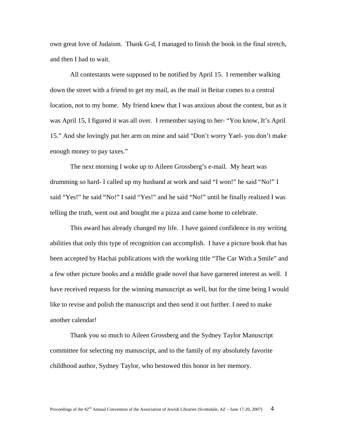own great love of Judaism. Thank G-d, I managed to finish the book in the final stretch, and then I had to wait.

All contestants were supposed to be notified by April 15. I remember walking down the street with a friend to get my mail, as the mail in Beitar comes to a central location, not to my home. My friend knew that I was anxious about the contest, but as it was April 15, I figured it was all over. I remember saying to her- "You know, It's April 15." And she lovingly put her arm on mine and said "Don't worry Yael- you don't make enough money to pay taxes."

The next morning I woke up to Aileen Grossberg's e-mail. My heart was drumming so hard- I called up my husband at work and said "I won!" he said "No!" I said "Yes!" he said "No!" I said "Yes!" and he said "No!" until he finally realized I was telling the truth, went out and bought me a pizza and came home to celebrate.

This award has already changed my life. I have gained confidence in my writing abilities that only this type of recognition can accomplish. I have a picture book that has been accepted by Hachai publications with the working title "The Car With a Smile" and a few other picture books and a middle grade novel that have garnered interest as well. I have received requests for the winning manuscript as well, but for the time being I would like to revise and polish the manuscript and then send it out further. I need to make another calendar!

Thank you so much to Aileen Grossberg and the Sydney Taylor Manuscript committee for selecting my manuscript, and to the family of my absolutely favorite childhood author, Sydney Taylor, who bestowed this honor in her memory.